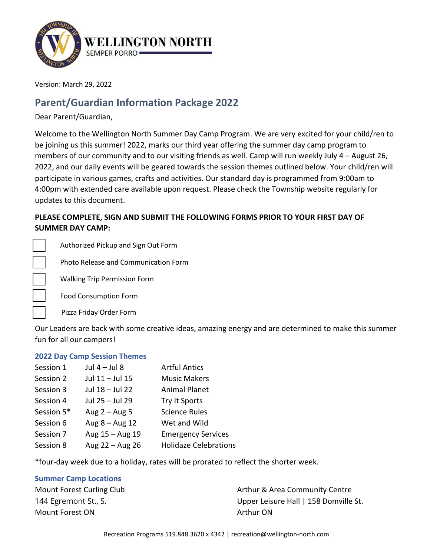

Version: March 29, 2022

# **Parent/Guardian Information Package 2022**

Dear Parent/Guardian,

Welcome to the Wellington North Summer Day Camp Program. We are very excited for your child/ren to be joining us this summer! 2022, marks our third year offering the summer day camp program to members of our community and to our visiting friends as well. Camp will run weekly July 4 – August 26, 2022, and our daily events will be geared towards the session themes outlined below. Your child/ren will participate in various games, crafts and activities. Our standard day is programmed from 9:00am to 4:00pm with extended care available upon request. Please check the Township website regularly for updates to this document.

## **PLEASE COMPLETE, SIGN AND SUBMIT THE FOLLOWING FORMS PRIOR TO YOUR FIRST DAY OF SUMMER DAY CAMP:**

☐ Authorized Pickup and Sign Out Form

☐ Photo Release and Communication Form

Walking Trip Permission Form

☐ Food Consumption Form

Pizza Friday Order Form

Our Leaders are back with some creative ideas, amazing energy and are determined to make this summer fun for all our campers!

### **2022 Day Camp Session Themes**

| Session 1  | Jul $4 -$ Jul 8  | <b>Artful Antics</b>         |
|------------|------------------|------------------------------|
| Session 2  | Jul 11 - Jul 15  | <b>Music Makers</b>          |
| Session 3  | Jul 18 - Jul 22  | <b>Animal Planet</b>         |
| Session 4  | Jul 25 - Jul 29  | Try It Sports                |
| Session 5* | Aug $2 -$ Aug 5  | <b>Science Rules</b>         |
| Session 6  | Aug $8 -$ Aug 12 | Wet and Wild                 |
| Session 7  | Aug 15 - Aug 19  | <b>Emergency Services</b>    |
| Session 8  | Aug 22 - Aug 26  | <b>Holidaze Celebrations</b> |

\*four-day week due to a holiday, rates will be prorated to reflect the shorter week.

#### **Summer Camp Locations**

Mount Forest ON Arthur ON

Mount Forest Curling Club Arthur & Area Community Centre 144 Egremont St., S. Upper Leisure Hall | 158 Domville St.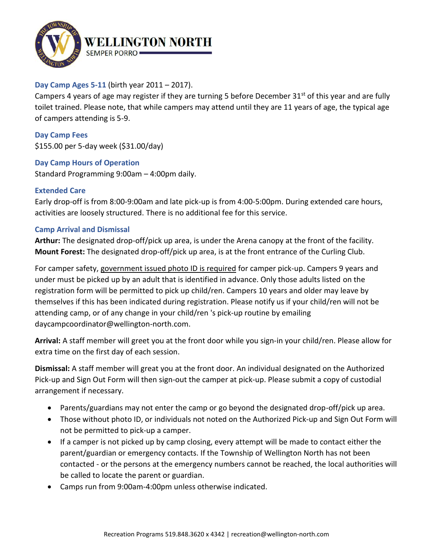

## **Day Camp Ages 5-11** (birth year 2011 – 2017).

Campers 4 years of age may register if they are turning 5 before December 31<sup>st</sup> of this year and are fully toilet trained. Please note, that while campers may attend until they are 11 years of age, the typical age of campers attending is 5-9.

**Day Camp Fees** \$155.00 per 5-day week (\$31.00/day)

### **Day Camp Hours of Operation**

Standard Programming 9:00am – 4:00pm daily.

### **Extended Care**

Early drop-off is from 8:00-9:00am and late pick-up is from 4:00-5:00pm. During extended care hours, activities are loosely structured. There is no additional fee for this service.

### **Camp Arrival and Dismissal**

**Arthur:** The designated drop-off/pick up area, is under the Arena canopy at the front of the facility. **Mount Forest:** The designated drop-off/pick up area, is at the front entrance of the Curling Club.

For camper safety, government issued photo ID is required for camper pick-up. Campers 9 years and under must be picked up by an adult that is identified in advance. Only those adults listed on the registration form will be permitted to pick up child/ren. Campers 10 years and older may leave by themselves if this has been indicated during registration. Please notify us if your child/ren will not be attending camp, or of any change in your child/ren 's pick-up routine by emailing daycampcoordinator@wellington-north.com.

**Arrival:** A staff member will greet you at the front door while you sign-in your child/ren. Please allow for extra time on the first day of each session.

**Dismissal:** A staff member will great you at the front door. An individual designated on the Authorized Pick-up and Sign Out Form will then sign-out the camper at pick-up. Please submit a copy of custodial arrangement if necessary.

- Parents/guardians may not enter the camp or go beyond the designated drop-off/pick up area.
- Those without photo ID, or individuals not noted on the Authorized Pick-up and Sign Out Form will not be permitted to pick-up a camper.
- If a camper is not picked up by camp closing, every attempt will be made to contact either the parent/guardian or emergency contacts. If the Township of Wellington North has not been contacted - or the persons at the emergency numbers cannot be reached, the local authorities will be called to locate the parent or guardian.
- Camps run from 9:00am-4:00pm unless otherwise indicated.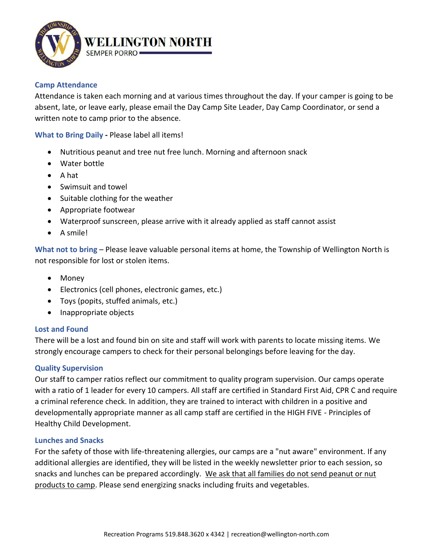

#### **Camp Attendance**

Attendance is taken each morning and at various times throughout the day. If your camper is going to be absent, late, or leave early, please email the Day Camp Site Leader, Day Camp Coordinator, or send a written note to camp prior to the absence.

**What to Bring Daily -** Please label all items!

- Nutritious peanut and tree nut free lunch. Morning and afternoon snack
- Water bottle
- A hat
- Swimsuit and towel
- Suitable clothing for the weather
- Appropriate footwear
- Waterproof sunscreen, please arrive with it already applied as staff cannot assist
- A smile!

**What not to bring** – Please leave valuable personal items at home, the Township of Wellington North is not responsible for lost or stolen items.

- Money
- Electronics (cell phones, electronic games, etc.)
- Toys (popits, stuffed animals, etc.)
- Inappropriate objects

### **Lost and Found**

There will be a lost and found bin on site and staff will work with parents to locate missing items. We strongly encourage campers to check for their personal belongings before leaving for the day.

### **Quality Supervision**

Our staff to camper ratios reflect our commitment to quality program supervision. Our camps operate with a ratio of 1 leader for every 10 campers. All staff are certified in Standard First Aid, CPR C and require a criminal reference check. In addition, they are trained to interact with children in a positive and developmentally appropriate manner as all camp staff are certified in the HIGH FIVE - Principles of Healthy Child Development.

#### **Lunches and Snacks**

For the safety of those with life-threatening allergies, our camps are a "nut aware" environment. If any additional allergies are identified, they will be listed in the weekly newsletter prior to each session, so snacks and lunches can be prepared accordingly. We ask that all families do not send peanut or nut products to camp. Please send energizing snacks including fruits and vegetables.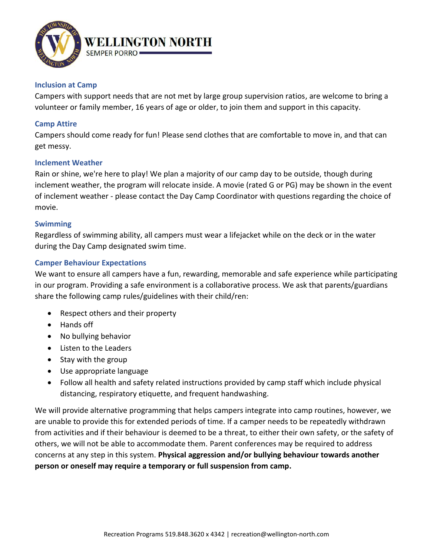

#### **Inclusion at Camp**

Campers with support needs that are not met by large group supervision ratios, are welcome to bring a volunteer or family member, 16 years of age or older, to join them and support in this capacity.

### **Camp Attire**

Campers should come ready for fun! Please send clothes that are comfortable to move in, and that can get messy.

#### **Inclement Weather**

Rain or shine, we're here to play! We plan a majority of our camp day to be outside, though during inclement weather, the program will relocate inside. A movie (rated G or PG) may be shown in the event of inclement weather - please contact the Day Camp Coordinator with questions regarding the choice of movie.

#### **Swimming**

Regardless of swimming ability, all campers must wear a lifejacket while on the deck or in the water during the Day Camp designated swim time.

### **Camper Behaviour Expectations**

We want to ensure all campers have a fun, rewarding, memorable and safe experience while participating in our program. Providing a safe environment is a collaborative process. We ask that parents/guardians share the following camp rules/guidelines with their child/ren:

- Respect others and their property
- Hands off
- No bullying behavior
- Listen to the Leaders
- Stay with the group
- Use appropriate language
- Follow all health and safety related instructions provided by camp staff which include physical distancing, respiratory etiquette, and frequent handwashing.

We will provide alternative programming that helps campers integrate into camp routines, however, we are unable to provide this for extended periods of time. If a camper needs to be repeatedly withdrawn from activities and if their behaviour is deemed to be a threat, to either their own safety, or the safety of others, we will not be able to accommodate them. Parent conferences may be required to address concerns at any step in this system. **Physical aggression and/or bullying behaviour towards another person or oneself may require a temporary or full suspension from camp.**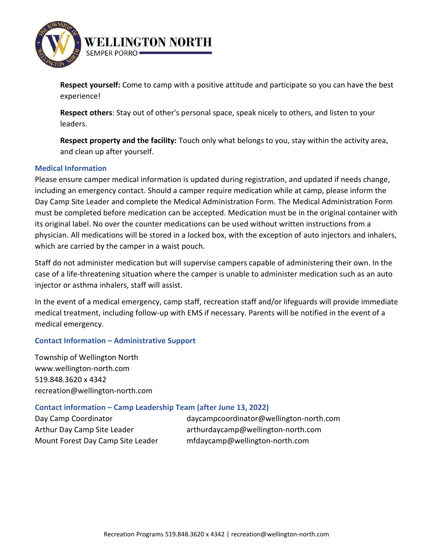

**Respect yourself:** Come to camp with a positive attitude and participate so you can have the best experience!

**Respect others**: Stay out of other's personal space, speak nicely to others, and listen to your leaders.

**Respect property and the facility:** Touch only what belongs to you, stay within the activity area, and clean up after yourself.

### **Medical Information**

Please ensure camper medical information is updated during registration, and updated if needs change, including an emergency contact. Should a camper require medication while at camp, please inform the Day Camp Site Leader and complete the Medical Administration Form. The Medical Administration Form must be completed before medication can be accepted. Medication must be in the original container with its original label. No over the counter medications can be used without written instructions from a physician. All medications will be stored in a locked box, with the exception of auto injectors and inhalers, which are carried by the camper in a waist pouch.

Staff do not administer medication but will supervise campers capable of administering their own. In the case of a life-threatening situation where the camper is unable to administer medication such as an auto injector or asthma inhalers, staff will assist.

In the event of a medical emergency, camp staff, recreation staff and/or lifeguards will provide immediate medical treatment, including follow-up with EMS if necessary. Parents will be notified in the event of a medical emergency.

## **Contact Information – Administrative Support**

Township of Wellington North www.wellington-north.com 519.848.3620 x 4342 recreation@wellington-north.com

## **Contact information – Camp Leadership Team (after June 13, 2022)**

Mount Forest Day Camp Site Leader mfdaycamp@wellington-north.com

Day Camp Coordinator daycampcoordinator@wellington-north.com Arthur Day Camp Site Leader arthurdaycamp@wellington-north.com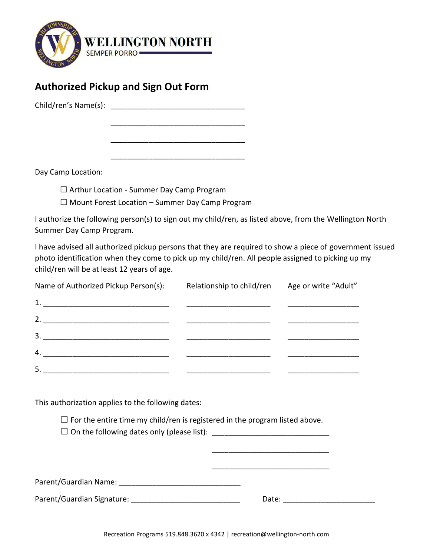

# **Authorized Pickup and Sign Out Form**

Child/ren's Name(s): **Example 2** 

Day Camp Location:

☐ Arthur Location - Summer Day Camp Program

 $\Box$  Mount Forest Location – Summer Day Camp Program

\_\_\_\_\_\_\_\_\_\_\_\_\_\_\_\_\_\_\_\_\_\_\_\_\_\_\_\_\_\_\_\_

\_\_\_\_\_\_\_\_\_\_\_\_\_\_\_\_\_\_\_\_\_\_\_\_\_\_\_\_\_\_\_\_

\_\_\_\_\_\_\_\_\_\_\_\_\_\_\_\_\_\_\_\_\_\_\_\_\_\_\_\_\_\_\_\_

I authorize the following person(s) to sign out my child/ren, as listed above, from the Wellington North Summer Day Camp Program.

I have advised all authorized pickup persons that they are required to show a piece of government issued photo identification when they come to pick up my child/ren. All people assigned to picking up my child/ren will be at least 12 years of age.

| Name of Authorized Pickup Person(s): | Relationship to child/ren | Age or write "Adult" |
|--------------------------------------|---------------------------|----------------------|
|                                      |                           |                      |
| 2. $\qquad \qquad$                   |                           |                      |
| 3.                                   |                           |                      |
| 4.                                   |                           |                      |
| 5.                                   |                           |                      |

This authorization applies to the following dates:

 $\Box$  For the entire time my child/ren is registered in the program listed above.

☐ On the following dates only (please list): \_\_\_\_\_\_\_\_\_\_\_\_\_\_\_\_\_\_\_\_\_\_\_\_\_\_\_\_

| Parent/Guardian Name: |  |
|-----------------------|--|
|                       |  |

Parent/Guardian Signature: \_\_\_\_\_\_\_\_\_\_\_\_\_\_\_\_\_\_\_\_\_\_\_\_\_\_ Date: \_\_\_\_\_\_\_\_\_\_\_\_\_\_\_\_\_\_\_\_\_\_

\_\_\_\_\_\_\_\_\_\_\_\_\_\_\_\_\_\_\_\_\_\_\_\_\_\_\_\_

\_\_\_\_\_\_\_\_\_\_\_\_\_\_\_\_\_\_\_\_\_\_\_\_\_\_\_\_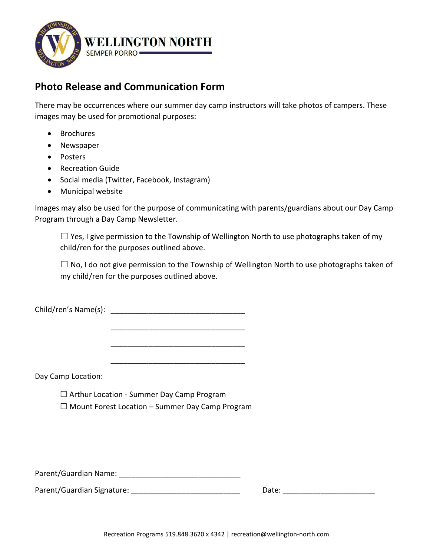

# **Photo Release and Communication Form**

There may be occurrences where our summer day camp instructors will take photos of campers. These images may be used for promotional purposes:

- Brochures
- Newspaper
- Posters
- Recreation Guide
- Social media (Twitter, Facebook, Instagram)
- Municipal website

Images may also be used for the purpose of communicating with parents/guardians about our Day Camp Program through a Day Camp Newsletter.

 $\Box$  Yes, I give permission to the Township of Wellington North to use photographs taken of my child/ren for the purposes outlined above.

 $\Box$  No, I do not give permission to the Township of Wellington North to use photographs taken of my child/ren for the purposes outlined above.

Child/ren's Name(s): \_\_\_\_\_\_\_\_\_\_\_\_\_\_\_\_\_\_\_\_\_\_\_\_\_\_\_\_\_\_\_\_

Day Camp Location:

☐ Arthur Location - Summer Day Camp Program  $\Box$  Mount Forest Location – Summer Day Camp Program

\_\_\_\_\_\_\_\_\_\_\_\_\_\_\_\_\_\_\_\_\_\_\_\_\_\_\_\_\_\_\_\_

\_\_\_\_\_\_\_\_\_\_\_\_\_\_\_\_\_\_\_\_\_\_\_\_\_\_\_\_\_\_\_\_

\_\_\_\_\_\_\_\_\_\_\_\_\_\_\_\_\_\_\_\_\_\_\_\_\_\_\_\_\_\_\_\_

Parent/Guardian Name: **Example 2018** 

Parent/Guardian Signature: etc. and the contract of the Date: etc. and Date: etc. and Date:  $\Box$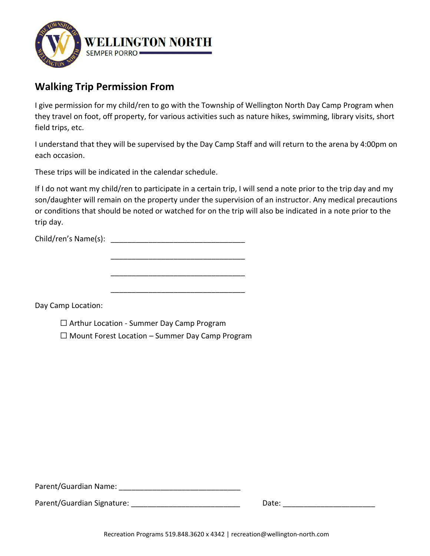

# **Walking Trip Permission From**

I give permission for my child/ren to go with the Township of Wellington North Day Camp Program when they travel on foot, off property, for various activities such as nature hikes, swimming, library visits, short field trips, etc.

I understand that they will be supervised by the Day Camp Staff and will return to the arena by 4:00pm on each occasion.

These trips will be indicated in the calendar schedule.

If I do not want my child/ren to participate in a certain trip, I will send a note prior to the trip day and my son/daughter will remain on the property under the supervision of an instructor. Any medical precautions or conditions that should be noted or watched for on the trip will also be indicated in a note prior to the trip day.

Child/ren's Name(s): \_\_\_\_\_\_\_\_\_\_\_\_\_\_\_\_\_\_\_\_\_\_\_\_\_\_\_\_\_\_\_\_

\_\_\_\_\_\_\_\_\_\_\_\_\_\_\_\_\_\_\_\_\_\_\_\_\_\_\_\_\_\_\_\_ \_\_\_\_\_\_\_\_\_\_\_\_\_\_\_\_\_\_\_\_\_\_\_\_\_\_\_\_\_\_\_\_

\_\_\_\_\_\_\_\_\_\_\_\_\_\_\_\_\_\_\_\_\_\_\_\_\_\_\_\_\_\_\_\_

Day Camp Location:

☐ Arthur Location - Summer Day Camp Program

☐ Mount Forest Location – Summer Day Camp Program

Parent/Guardian Name:

Parent/Guardian Signature: etc. and the contract of the Date:  $\Box$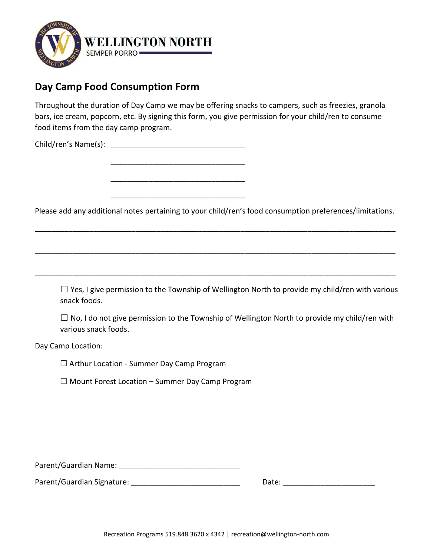

# **Day Camp Food Consumption Form**

Throughout the duration of Day Camp we may be offering snacks to campers, such as freezies, granola bars, ice cream, popcorn, etc. By signing this form, you give permission for your child/ren to consume food items from the day camp program.

Child/ren's Name(s):

\_\_\_\_\_\_\_\_\_\_\_\_\_\_\_\_\_\_\_\_\_\_\_\_\_\_\_\_\_\_\_\_

\_\_\_\_\_\_\_\_\_\_\_\_\_\_\_\_\_\_\_\_\_\_\_\_\_\_\_\_\_\_\_\_

\_\_\_\_\_\_\_\_\_\_\_\_\_\_\_\_\_\_\_\_\_\_\_\_\_\_\_\_\_\_\_\_

Please add any additional notes pertaining to your child/ren's food consumption preferences/limitations.

\_\_\_\_\_\_\_\_\_\_\_\_\_\_\_\_\_\_\_\_\_\_\_\_\_\_\_\_\_\_\_\_\_\_\_\_\_\_\_\_\_\_\_\_\_\_\_\_\_\_\_\_\_\_\_\_\_\_\_\_\_\_\_\_\_\_\_\_\_\_\_\_\_\_\_\_\_\_\_\_\_\_\_\_\_\_

\_\_\_\_\_\_\_\_\_\_\_\_\_\_\_\_\_\_\_\_\_\_\_\_\_\_\_\_\_\_\_\_\_\_\_\_\_\_\_\_\_\_\_\_\_\_\_\_\_\_\_\_\_\_\_\_\_\_\_\_\_\_\_\_\_\_\_\_\_\_\_\_\_\_\_\_\_\_\_\_\_\_\_\_\_\_

\_\_\_\_\_\_\_\_\_\_\_\_\_\_\_\_\_\_\_\_\_\_\_\_\_\_\_\_\_\_\_\_\_\_\_\_\_\_\_\_\_\_\_\_\_\_\_\_\_\_\_\_\_\_\_\_\_\_\_\_\_\_\_\_\_\_\_\_\_\_\_\_\_\_\_\_\_\_\_\_\_\_\_\_\_\_

 $\Box$  Yes, I give permission to the Township of Wellington North to provide my child/ren with various snack foods.

 $\Box$  No, I do not give permission to the Township of Wellington North to provide my child/ren with various snack foods.

Day Camp Location:

☐ Arthur Location - Summer Day Camp Program

 $\Box$  Mount Forest Location – Summer Day Camp Program

Parent/Guardian Name: \_\_\_\_\_\_\_\_\_\_\_\_\_\_\_\_\_\_\_\_\_\_\_\_\_\_\_\_\_

Parent/Guardian Signature: \_\_\_\_\_\_\_\_\_\_\_\_\_\_\_\_\_\_\_\_\_\_\_\_\_\_ Date: \_\_\_\_\_\_\_\_\_\_\_\_\_\_\_\_\_\_\_\_\_\_